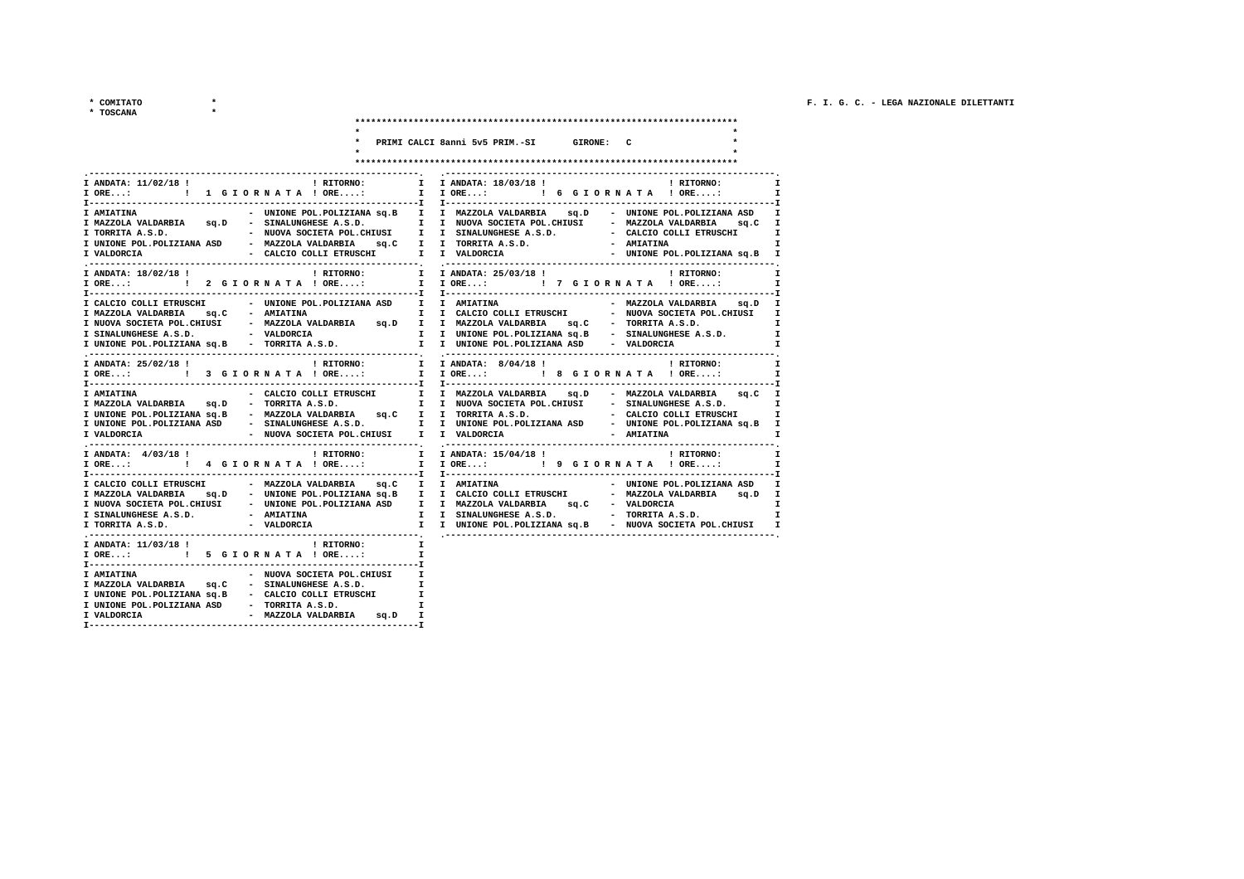$\begin{array}{ccccc}\star&\texttt{COMITATO}&&&&\star\\\star&\texttt{TOSCANA}&&&&\star\\\end{array}$ 

| <b>SCANA</b> |  |  |
|--------------|--|--|

|                                                                                                                                                                                                                            | * PRIMI CALCI 8anni 5v5 PRIM.-SI GIRONE: C               |                                 |
|----------------------------------------------------------------------------------------------------------------------------------------------------------------------------------------------------------------------------|----------------------------------------------------------|---------------------------------|
|                                                                                                                                                                                                                            |                                                          |                                 |
|                                                                                                                                                                                                                            |                                                          |                                 |
| ! RITORNO: I I ANDATA: 18/03/18 !<br>I ANDATA: 11/02/18 !                                                                                                                                                                  |                                                          | ! RITORNO:<br>п                 |
| I ORE: ! 1 G I O R N A T A ! ORE:                                                                                                                                                                                          | I IORE: ! 6 GIORNATA ! ORE:                              | $\mathbf{I}$                    |
|                                                                                                                                                                                                                            |                                                          |                                 |
| - UNIONE POL.POLIZIANA SQ.B I I MAZZOLA VALDARBIA SQ.D - UNIONE POL.POLIZIANA ASD<br><b>I AMIATINA</b>                                                                                                                     |                                                          | I                               |
| I MAZZOLA VALDARBIA 9q.D - SINALUNGHESE A.S.D. I I NUOVA SOCIETA POL.CHIUSI - MAZZOLA VALDARBIA 9q.C I                                                                                                                     |                                                          | I                               |
|                                                                                                                                                                                                                            |                                                          | х                               |
| - CALCIO COLLI ETRUSCHI I I VALDORCIA<br>I VALDORCIA                                                                                                                                                                       |                                                          | - UNIONE POL.POLIZIANA sq.B I   |
|                                                                                                                                                                                                                            |                                                          |                                 |
| ! RITORNO:<br>I ANDATA: 18/02/18 !                                                                                                                                                                                         | I I ANDATA: 25/03/18 !                                   | ! RITORNO:<br>$\mathbf{I}$      |
|                                                                                                                                                                                                                            | I IORE: ! 7 GIORNATA ! ORE:                              | I                               |
|                                                                                                                                                                                                                            |                                                          |                                 |
| I CALCIO COLLI ETRUSCHI - UNIONE POL.POLIZIANA ASD I I AMIATINA                                                                                                                                                            |                                                          | - MAZZOLA VALDARBIA sq.D I      |
|                                                                                                                                                                                                                            |                                                          |                                 |
| I SINALUNGHESE A.S.D.               VALDORCIA             I   I UNIONE POL.POLIZIANA $sq.B$ SINALUNGHESE A.S.D.         I                                                                                                  |                                                          |                                 |
| I UNIONE POL.POLIZIANA Sq.B - TORRITA A.S.D. I I UNIONE POL.POLIZIANA ASD - VALDORCIA                                                                                                                                      |                                                          | $\mathbf{I}$                    |
|                                                                                                                                                                                                                            |                                                          |                                 |
| I ANDATA: 25/02/18 !                                                                                                                                                                                                       | ! RITORNO: I I ANDATA: 8/04/18!                          | ! RITORNO:<br>$\mathbf{I}$      |
| I ORE: I 3 G I ORNATA ! ORE:                                                                                                                                                                                               | I I ORE: : : 8 G I OR N A T A ! ORE:                     | I                               |
|                                                                                                                                                                                                                            |                                                          |                                 |
| - CALCIO COLLI ETRUSCHI I I MAZZOLA VALDARBIA SQ.D - MAZZOLA VALDARBIA SQ.C I<br><b>I AMIATINA</b><br>I MAZZOLA VALDARBIA sq.D - TORRITA A.S.D. I I NUOVA SOCIETA POL.CHIUSI - SINALUNGHESE A.S.D.                         |                                                          | $\mathbf{I}$                    |
|                                                                                                                                                                                                                            |                                                          |                                 |
| I UNIONE POL.POLIZIANA SQ.B - MAZZOLA VALDARBIA SQ.C I I TORRITA A.S.D.     - CALCIO COLLI ETRUSCHI I<br>I UNIONE POL.POLIZIANA ASD  - SINALUNGHESE A.S.D.     I I UNIONE POL.POLIZIANA ASD  - UNIONE POL.POLIZIANA SQ.B I |                                                          |                                 |
| - NUOVA SOCIETA POL.CHIUSI I I VALDORCIA<br>I VALDORCIA                                                                                                                                                                    |                                                          | - AMIATINA<br><b>I</b>          |
|                                                                                                                                                                                                                            |                                                          |                                 |
| ! RITORNO:<br>I ANDATA: 4/03/18 !                                                                                                                                                                                          | I I ANDATA: 15/04/18 ! (2010) PHITORNO:                  | $\mathbf{I}$                    |
| I ORE: ! 4 G I O R N A T A ! ORE:                                                                                                                                                                                          | I I ORE: ! 9 G I O R N A T A ! ORE:                      | $\mathbf{I}$                    |
| I CALCIO COLLI ETRUSCHI               MAZZOLA VALDARBIA       sq.C      I     I    AMIATINA                                                                                                                                |                                                          | - UNIONE POL.POLIZIANA ASD<br>I |
| I MAZZOLA VALDARBIA 9q.D - UNIONE POL.POLIZIANA Sq.B I I CALCIO COLLI ETRUSCHI - MAZZOLA VALDARBIA 9q.D I                                                                                                                  |                                                          |                                 |
|                                                                                                                                                                                                                            |                                                          | $\mathbf{I}$                    |
| I NUOVA SOCIETA POL.CHIUSI - UNIONE POL.POLIZIANA ASDI I MAZZOLA VALDARBIA SQ.C - VALDORCIA<br>I SINALUNGHESE A.S.D. - AMIATINA I I SINALUNGHESE A.S.D. - TORRITA A.S.D.                                                   |                                                          | I                               |
| - VALDORCIA<br>I TORRITA A.S.D.                                                                                                                                                                                            | I I UNIONE POL.POLIZIANA sq.B - NUOVA SOCIETA POL.CHIUSI | I                               |
|                                                                                                                                                                                                                            |                                                          |                                 |
| I ANDATA: 11/03/18 !<br>! RITORNO:<br>I ORE: : : 5 G I O R N A T A ! ORE:                                                                                                                                                  | $\mathbf{I}$<br>$\mathbf{I}$                             |                                 |
|                                                                                                                                                                                                                            |                                                          |                                 |
|                                                                                                                                                                                                                            |                                                          |                                 |